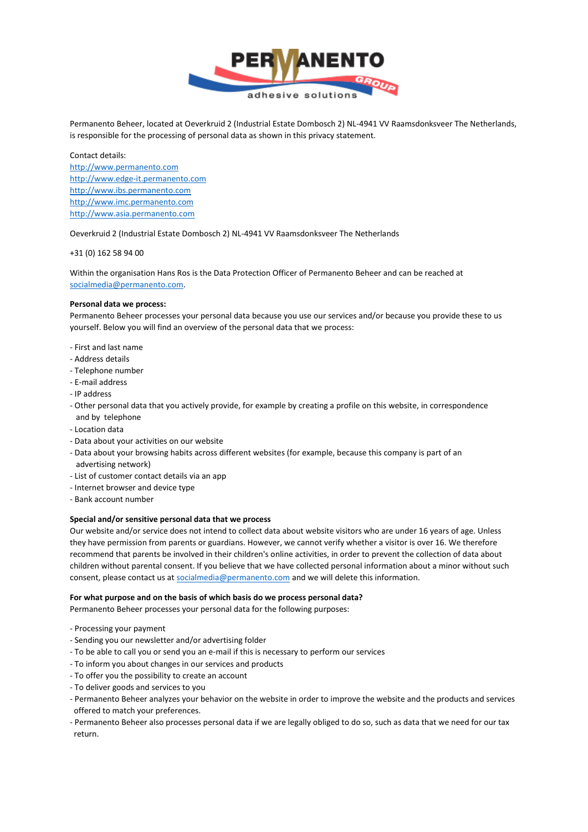

Permanento Beheer, located at Oeverkruid 2 (Industrial Estate Dombosch 2) NL-4941 VV Raamsdonksveer The Netherlands, is responsible for the processing of personal data as shown in this privacy statement.

Contact details: [http://www.permanento.com](http://www.permanento.com/) [http://www.edge-it.permanento.com](http://www.edge-it.permanento.com/) [http://www.ibs.permanento.com](http://www.ibs.permanento.com/) [http://www.imc.permanento.com](http://www.imc.permanento.com/) [http://www.asia.permanento.com](http://www.asia.permanento.com/)

Oeverkruid 2 (Industrial Estate Dombosch 2) NL-4941 VV Raamsdonksveer The Netherlands

# +31 (0) 162 58 94 00

Within the organisation Hans Ros is the Data Protection Officer of Permanento Beheer and can be reached at [socialmedia@permanento.com.](mailto:socialmedia@permanento.com)

#### **Personal data we process:**

Permanento Beheer processes your personal data because you use our services and/or because you provide these to us yourself. Below you will find an overview of the personal data that we process:

- First and last name
- Address details
- Telephone number
- E-mail address
- IP address
- Other personal data that you actively provide, for example by creating a profile on this website, in correspondence and by telephone
- Location data
- Data about your activities on our website
- Data about your browsing habits across different websites (for example, because this company is part of an advertising network)
- List of customer contact details via an app
- Internet browser and device type
- Bank account number

## **Special and/or sensitive personal data that we process**

Our website and/or service does not intend to collect data about website visitors who are under 16 years of age. Unless they have permission from parents or guardians. However, we cannot verify whether a visitor is over 16. We therefore recommend that parents be involved in their children's online activities, in order to prevent the collection of data about children without parental consent. If you believe that we have collected personal information about a minor without such consent, please contact us at [socialmedia@permanento.com](mailto:socialmedia@permanento.com) and we will delete this information.

#### **For what purpose and on the basis of which basis do we process personal data?**

Permanento Beheer processes your personal data for the following purposes:

- Processing your payment
- Sending you our newsletter and/or advertising folder
- To be able to call you or send you an e-mail if this is necessary to perform our services
- To inform you about changes in our services and products
- To offer you the possibility to create an account
- To deliver goods and services to you
- Permanento Beheer analyzes your behavior on the website in order to improve the website and the products and services offered to match your preferences.
- Permanento Beheer also processes personal data if we are legally obliged to do so, such as data that we need for our tax return.